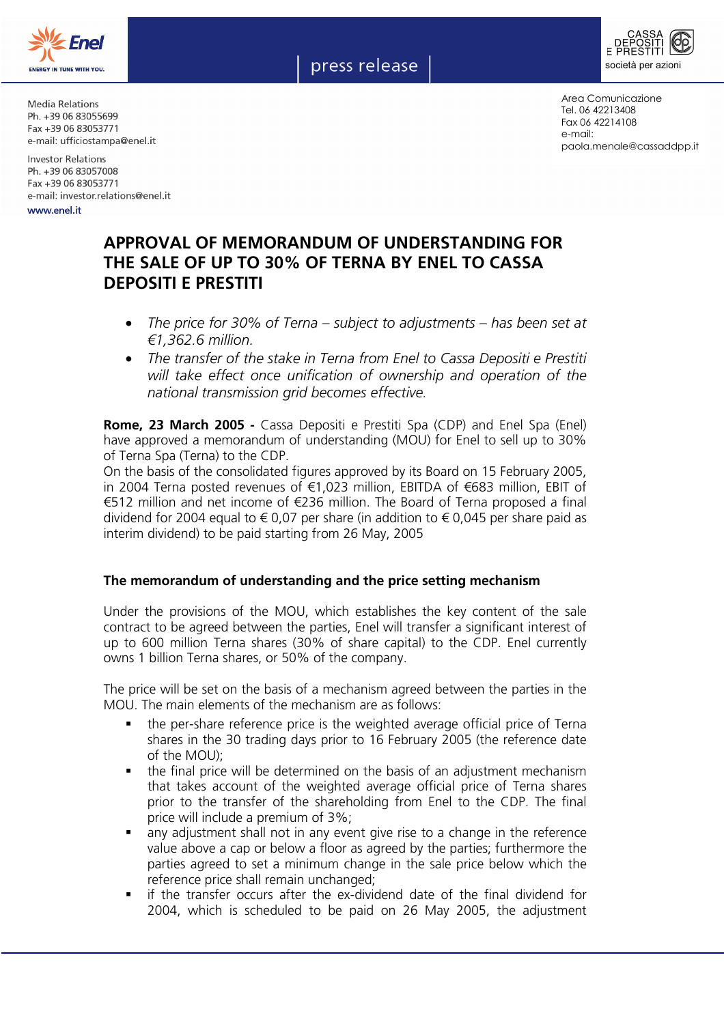





Media Relations Ph. +39 06 83055699 Fax +39 06 83053771 e-mail: ufficiostampa@enel.it

**Investor Relations** Ph. +39 06 83057008 Fax +39 06 83053771 e-mail: investor.relations@enel.it

www.enel.it

Area Comunicazione Tel. 06 42213408 Fax 06 42214108 e-mail: paola.menale@cassaddpp.it

## **APPROVAL OF MEMORANDUM OF UNDERSTANDING FOR THE SALE OF UP TO 30% OF TERNA BY ENEL TO CASSA DEPOSITI E PRESTITI**

- *The price for 30% of Terna subject to adjustments has been set at €1,362.6 million.*
- *The transfer of the stake in Terna from Enel to Cassa Depositi e Prestiti will take effect once unification of ownership and operation of the national transmission grid becomes effective.*

**Rome, 23 March 2005 -** Cassa Depositi e Prestiti Spa (CDP) and Enel Spa (Enel) have approved a memorandum of understanding (MOU) for Enel to sell up to 30% of Terna Spa (Terna) to the CDP.

On the basis of the consolidated figures approved by its Board on 15 February 2005, in 2004 Terna posted revenues of €1,023 million, EBITDA of €683 million, EBIT of €512 million and net income of €236 million. The Board of Terna proposed a final dividend for 2004 equal to € 0,07 per share (in addition to € 0,045 per share paid as interim dividend) to be paid starting from 26 May, 2005

## **The memorandum of understanding and the price setting mechanism**

Under the provisions of the MOU, which establishes the key content of the sale contract to be agreed between the parties, Enel will transfer a significant interest of up to 600 million Terna shares (30% of share capital) to the CDP. Enel currently owns 1 billion Terna shares, or 50% of the company.

The price will be set on the basis of a mechanism agreed between the parties in the MOU. The main elements of the mechanism are as follows:

- the per-share reference price is the weighted average official price of Terna shares in the 30 trading days prior to 16 February 2005 (the reference date of the MOU);
- the final price will be determined on the basis of an adjustment mechanism that takes account of the weighted average official price of Terna shares prior to the transfer of the shareholding from Enel to the CDP. The final price will include a premium of 3%;
- any adjustment shall not in any event give rise to a change in the reference value above a cap or below a floor as agreed by the parties; furthermore the parties agreed to set a minimum change in the sale price below which the reference price shall remain unchanged;
- if the transfer occurs after the ex-dividend date of the final dividend for 2004, which is scheduled to be paid on 26 May 2005, the adjustment